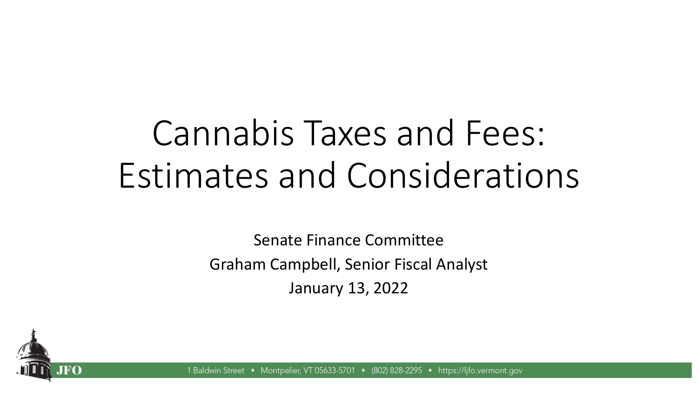# Cannabis Taxes and Fees: Estimates and Considerations

Senate Finance Committee Graham Campbell, Senior Fiscal Analyst January 13, 2022



1 Baldwin Street Montpelier, VT 05633-5701 • (802) 828-2295 • https://lifo.vermont.gov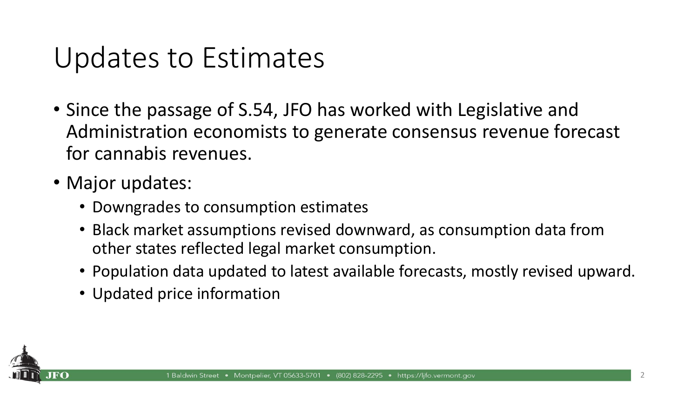## Updates to Estimates

- Since the passage of S.54, JFO has worked with Legislative and Administration economists to generate consensus revenue forecast for cannabis revenues.
- Major updates:
	- Downgrades to consumption estimates
	- Black market assumptions revised downward, as consumption data from other states reflected legal market consumption.
	- Population data updated to latest available forecasts, mostly revised upward.
	- Updated price information

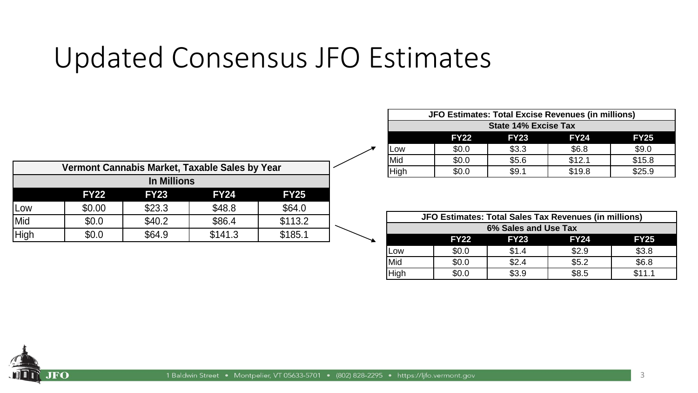## Updated Consensus JFO Estimates

| Vermont Cannabis Market, Taxable Sales by Year |             |             |             |             |  |
|------------------------------------------------|-------------|-------------|-------------|-------------|--|
| <b>In Millions</b>                             |             |             |             |             |  |
|                                                | <b>FY22</b> | <b>FY23</b> | <b>FY24</b> | <b>FY25</b> |  |
| Low                                            | \$0.00      | \$23.3      | \$48.8      | \$64.0      |  |
| Mid                                            | \$0.0       | \$40.2      | \$86.4      | \$113.2     |  |
| High                                           | \$0.0       | \$64.9      | \$141.3     | \$185.1     |  |

| JFO Estimates: Total Excise Revenues (in millions) |             |             |             |             |
|----------------------------------------------------|-------------|-------------|-------------|-------------|
| <b>State 14% Excise Tax</b>                        |             |             |             |             |
|                                                    | <b>FY22</b> | <b>FY23</b> | <b>FY24</b> | <b>FY25</b> |
| Low                                                | \$0.0       | \$3.3       | \$6.8       | \$9.0       |
| Mid                                                | \$0.0       | \$5.6       | \$12.1      | \$15.8      |
| High                                               |             | \$9.1       | \$19.8      | \$25.9      |

|      | JFO Estimates: Total Sales Tax Revenues (in millions) |             |             |             |  |
|------|-------------------------------------------------------|-------------|-------------|-------------|--|
|      | 6% Sales and Use Tax                                  |             |             |             |  |
|      | <b>FY22</b>                                           | <b>FY23</b> | <b>FY24</b> | <b>FY25</b> |  |
| Low  | \$0.0                                                 | \$1.4       | \$2.9       | \$3.8       |  |
| Mid  | \$0.0                                                 | \$2.4       | \$5.2       | \$6.8       |  |
| High | \$0.0                                                 | \$3.9       | \$8.5       | \$11.1      |  |

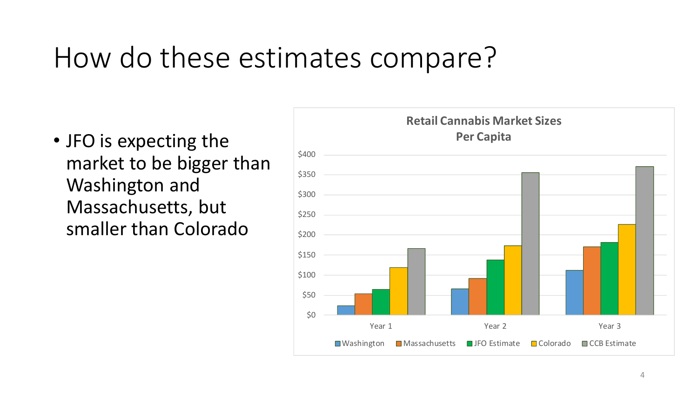## How do these estimates compare?

• JFO is expecting the market to be bigger than Washington and Massachusetts, but smaller than Colorado

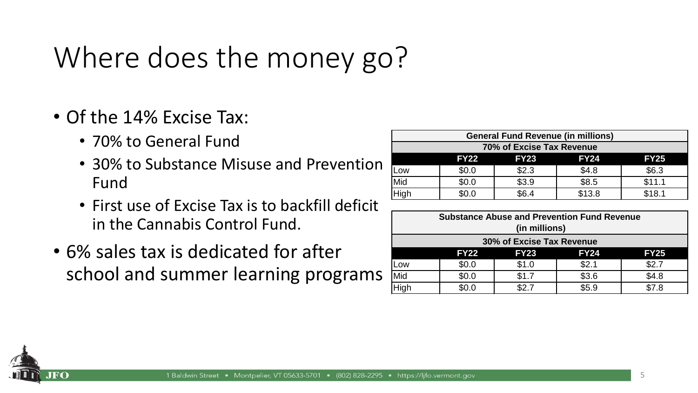# Where does the money go?

- Of the 14% Excise Tax:
	- 70% to General Fund
	- 30% to Substance Misuse and Prevention Fund
	- First use of Excise Tax is to backfill deficit in the Cannabis Control Fund.
- 6% sales tax is dedicated for after school and summer learning programs

| <b>General Fund Revenue (in millions)</b>                |       |       |       |       |  |
|----------------------------------------------------------|-------|-------|-------|-------|--|
| 70% of Excise Tax Revenue                                |       |       |       |       |  |
| <b>FY24</b><br><b>FY23</b><br><b>FY22</b><br><b>FY25</b> |       |       |       |       |  |
| Low                                                      | \$0.0 | \$2.3 | \$4.8 | \$6.3 |  |
| \$3.9<br>\$8.5<br>\$11.1<br>Mid<br>\$0.0                 |       |       |       |       |  |
| \$13.8<br>High<br>\$18.1<br>\$6.4<br>\$0.0               |       |       |       |       |  |

| <b>Substance Abuse and Prevention Fund Revenue</b>       |                           |       |       |       |  |
|----------------------------------------------------------|---------------------------|-------|-------|-------|--|
|                                                          | (in millions)             |       |       |       |  |
|                                                          | 30% of Excise Tax Revenue |       |       |       |  |
| <b>FY23</b><br><b>FY24</b><br><b>FY25</b><br><b>FY22</b> |                           |       |       |       |  |
| Low                                                      | \$0.0                     | \$1.0 | \$2.1 | \$2.7 |  |
| Mid                                                      | \$0.0                     | \$1.7 | \$3.6 | \$4.8 |  |
| High                                                     | \$0.0                     | ፍ2 7  | \$5.9 | \$7.8 |  |

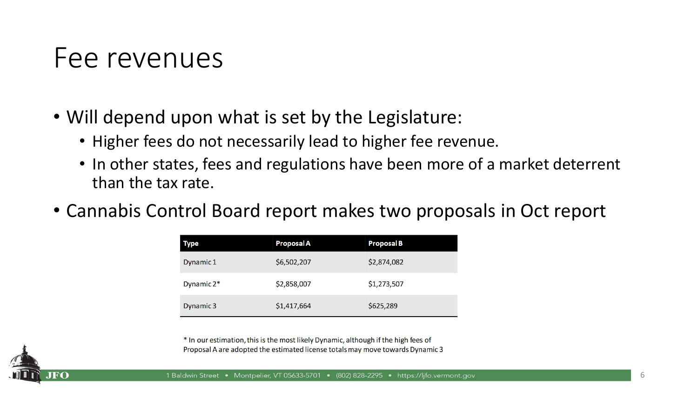#### Fee revenues

- Will depend upon what is set by the Legislature:
	- Higher fees do not necessarily lead to higher fee revenue.
	- In other states, fees and regulations have been more of a market deterrent than the tax rate.
- Cannabis Control Board report makes two proposals in Oct report

| <b>Type</b> | <b>Proposal A</b> | <b>Proposal B</b> |
|-------------|-------------------|-------------------|
| Dynamic 1   | \$6,502,207       | \$2,874,082       |
| Dynamic 2*  | \$2,858,007       | \$1,273,507       |
| Dynamic 3   | \$1,417,664       | \$625,289         |

\* In our estimation, this is the most likely Dynamic, although if the high fees of Proposal A are adopted the estimated license totals may move towards Dynamic 3

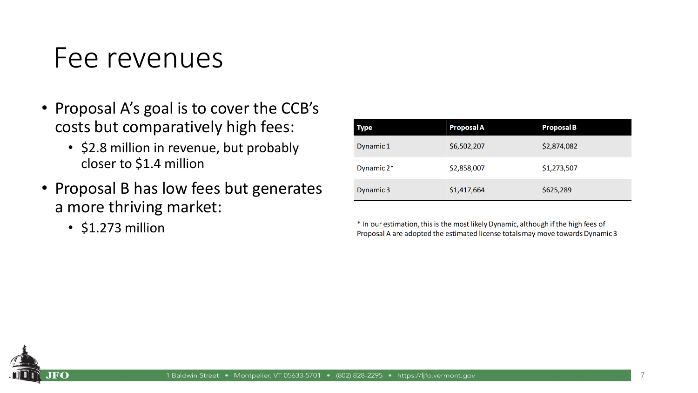#### Fee revenues

- Proposal A's goal is to cover the CCB's costs but comparatively high fees:
	- \$2.8 million in revenue, but probably closer to \$1.4 million
- Proposal B has low fees but generates a more thriving market:
	- \$1.273 million

| <b>Type</b>   | <b>Proposal A</b> | <b>Proposal B</b> |
|---------------|-------------------|-------------------|
| Dynamic 1     | \$6,502,207       | \$2,874,082       |
| Dynamic $2^*$ | \$2,858,007       | \$1,273,507       |
| Dynamic 3     | \$1,417,664       | \$625,289         |

\* In our estimation, this is the most likely Dynamic, although if the high fees of Proposal A are adopted the estimated license totals may move towards Dynamic 3

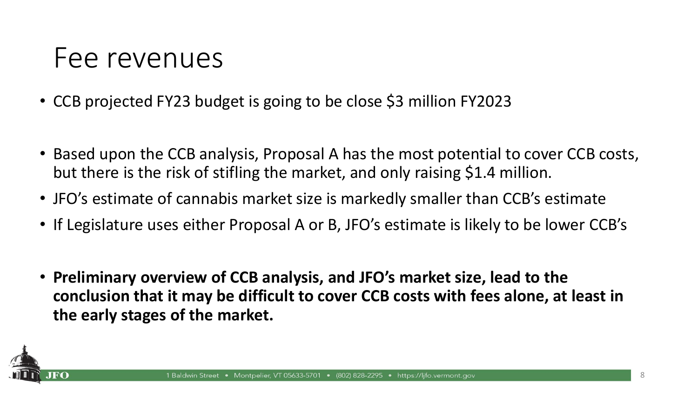#### Fee revenues

- CCB projected FY23 budget is going to be close \$3 million FY2023
- Based upon the CCB analysis, Proposal A has the most potential to cover CCB costs, but there is the risk of stifling the market, and only raising \$1.4 million.
- JFO's estimate of cannabis market size is markedly smaller than CCB's estimate
- If Legislature uses either Proposal A or B, JFO's estimate is likely to be lower CCB's
- **Preliminary overview of CCB analysis, and JFO's market size, lead to the conclusion that it may be difficult to cover CCB costs with fees alone, at least in the early stages of the market.**

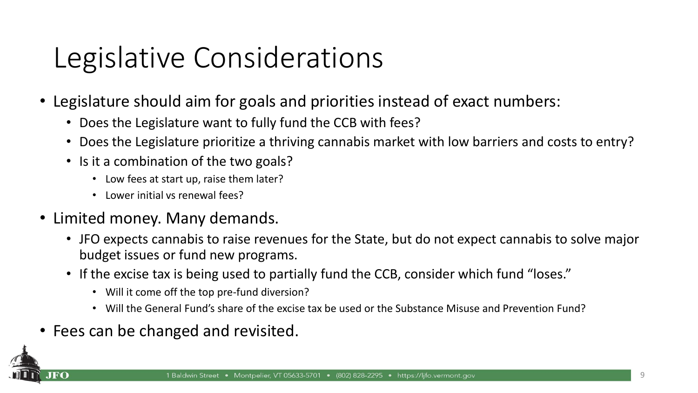# Legislative Considerations

- Legislature should aim for goals and priorities instead of exact numbers:
	- Does the Legislature want to fully fund the CCB with fees?
	- Does the Legislature prioritize a thriving cannabis market with low barriers and costs to entry?
	- Is it a combination of the two goals?
		- Low fees at start up, raise them later?
		- Lower initial vs renewal fees?
- Limited money. Many demands.
	- JFO expects cannabis to raise revenues for the State, but do not expect cannabis to solve major budget issues or fund new programs.
	- If the excise tax is being used to partially fund the CCB, consider which fund "loses."
		- Will it come off the top pre-fund diversion?
		- Will the General Fund's share of the excise tax be used or the Substance Misuse and Prevention Fund?
- Fees can be changed and revisited.